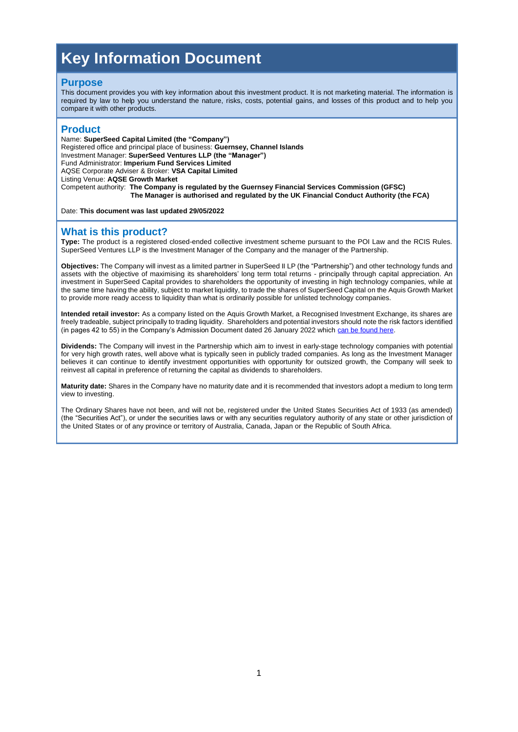# **Key Information Document**

#### **Purpose**

This document provides you with key information about this investment product. It is not marketing material. The information is required by law to help you understand the nature, risks, costs, potential gains, and losses of this product and to help you compare it with other products.

#### **Product**

Name: **SuperSeed Capital Limited (the "Company")** Registered office and principal place of business: **Guernsey, Channel Islands** Investment Manager: **SuperSeed Ventures LLP (the "Manager")** Fund Administrator: **Imperium Fund Services Limited** AQSE Corporate Adviser & Broker: **VSA Capital Limited** Listing Venue: **AQSE Growth Market** Competent authority: **The Company is regulated by the Guernsey Financial Services Commission (GFSC) The Manager is authorised and regulated by the UK Financial Conduct Authority (the FCA)**

Date: **This document was last updated 29/05/2022**

#### **What is this product?**

**Type:** The product is a registered closed-ended collective investment scheme pursuant to the POI Law and the RCIS Rules. SuperSeed Ventures LLP is the Investment Manager of the Company and the manager of the Partnership.

**Objectives:** The Company will invest as a limited partner in SuperSeed II LP (the "Partnership") and other technology funds and assets with the objective of maximising its shareholders' long term total returns - principally through capital appreciation. An investment in SuperSeed Capital provides to shareholders the opportunity of investing in high technology companies, while at the same time having the ability, subject to market liquidity, to trade the shares of SuperSeed Capital on the Aquis Growth Market to provide more ready access to liquidity than what is ordinarily possible for unlisted technology companies.

**Intended retail investor:** As a company listed on the Aquis Growth Market, a Recognised Investment Exchange, its shares are freely tradeable, subject principally to trading liquidity. Shareholders and potential investors should note the risk factors identified (in pages 42 to 55) in the Company's Admission Document dated 26 January 2022 which [can be found here.](https://www.superseed.com/wp-content/uploads/2022/01/220131-SuperSeed-Admission-Document.pdf)

**Dividends:** The Company will invest in the Partnership which aim to invest in early-stage technology companies with potential for very high growth rates, well above what is typically seen in publicly traded companies. As long as the Investment Manager believes it can continue to identify investment opportunities with opportunity for outsized growth, the Company will seek to reinvest all capital in preference of returning the capital as dividends to shareholders.

**Maturity date:** Shares in the Company have no maturity date and it is recommended that investors adopt a medium to long term view to investing.

The Ordinary Shares have not been, and will not be, registered under the United States Securities Act of 1933 (as amended) (the "Securities Act"), or under the securities laws or with any securities regulatory authority of any state or other jurisdiction of the United States or of any province or territory of Australia, Canada, Japan or the Republic of South Africa.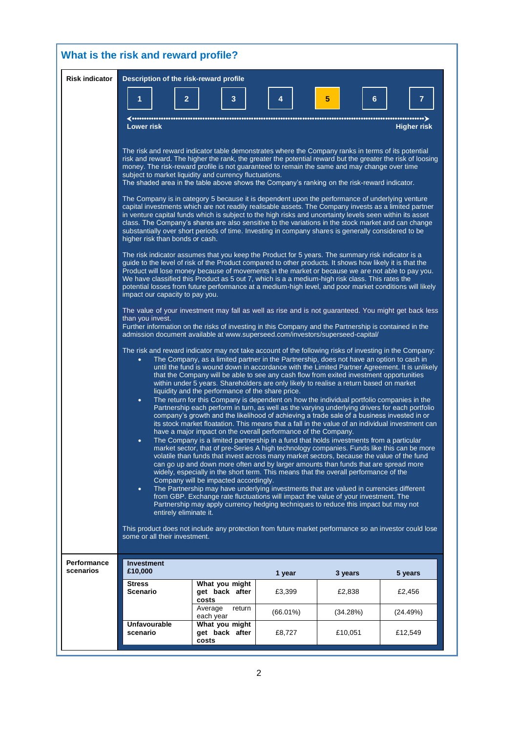| What is the risk and reward profile? |                                                                                                                                                                                                                                                                                                                                                                                                                                                                                                                                                                                                                                                                                                                                                                                                                                                                                                                                                                                                                                                                                                                                                                                             |                                           |             |          |                         |  |
|--------------------------------------|---------------------------------------------------------------------------------------------------------------------------------------------------------------------------------------------------------------------------------------------------------------------------------------------------------------------------------------------------------------------------------------------------------------------------------------------------------------------------------------------------------------------------------------------------------------------------------------------------------------------------------------------------------------------------------------------------------------------------------------------------------------------------------------------------------------------------------------------------------------------------------------------------------------------------------------------------------------------------------------------------------------------------------------------------------------------------------------------------------------------------------------------------------------------------------------------|-------------------------------------------|-------------|----------|-------------------------|--|
| <b>Risk indicator</b>                | Description of the risk-reward profile                                                                                                                                                                                                                                                                                                                                                                                                                                                                                                                                                                                                                                                                                                                                                                                                                                                                                                                                                                                                                                                                                                                                                      |                                           |             |          |                         |  |
|                                      | $\overline{2}$<br><b>Lower risk</b>                                                                                                                                                                                                                                                                                                                                                                                                                                                                                                                                                                                                                                                                                                                                                                                                                                                                                                                                                                                                                                                                                                                                                         | 3                                         | 4           | 5<br>6   | 7<br><b>Higher risk</b> |  |
|                                      | The risk and reward indicator table demonstrates where the Company ranks in terms of its potential                                                                                                                                                                                                                                                                                                                                                                                                                                                                                                                                                                                                                                                                                                                                                                                                                                                                                                                                                                                                                                                                                          |                                           |             |          |                         |  |
|                                      | risk and reward. The higher the rank, the greater the potential reward but the greater the risk of loosing<br>money. The risk-reward profile is not guaranteed to remain the same and may change over time<br>subject to market liquidity and currency fluctuations.<br>The shaded area in the table above shows the Company's ranking on the risk-reward indicator.                                                                                                                                                                                                                                                                                                                                                                                                                                                                                                                                                                                                                                                                                                                                                                                                                        |                                           |             |          |                         |  |
|                                      | The Company is in category 5 because it is dependent upon the performance of underlying venture<br>capital investments which are not readily realisable assets. The Company invests as a limited partner<br>in venture capital funds which is subject to the high risks and uncertainty levels seen within its asset<br>class. The Company's shares are also sensitive to the variations in the stock market and can change<br>substantially over short periods of time. Investing in company shares is generally considered to be<br>higher risk than bonds or cash.<br>The risk indicator assumes that you keep the Product for 5 years. The summary risk indicator is a<br>quide to the level of risk of the Product compared to other products. It shows how likely it is that the<br>Product will lose money because of movements in the market or because we are not able to pay you.<br>We have classified this Product as 5 out 7, which is a a medium-high risk class. This rates the<br>potential losses from future performance at a medium-high level, and poor market conditions will likely<br>impact our capacity to pay you.                                                |                                           |             |          |                         |  |
|                                      |                                                                                                                                                                                                                                                                                                                                                                                                                                                                                                                                                                                                                                                                                                                                                                                                                                                                                                                                                                                                                                                                                                                                                                                             |                                           |             |          |                         |  |
|                                      | The value of your investment may fall as well as rise and is not guaranteed. You might get back less<br>than you invest.<br>Further information on the risks of investing in this Company and the Partnership is contained in the<br>admission document available at www.superseed.com/investors/superseed-capital/<br>The risk and reward indicator may not take account of the following risks of investing in the Company:<br>The Company, as a limited partner in the Partnership, does not have an option to cash in<br>$\bullet$<br>until the fund is wound down in accordance with the Limited Partner Agreement. It is unlikely<br>that the Company will be able to see any cash flow from exited investment opportunities<br>within under 5 years. Shareholders are only likely to realise a return based on market<br>liquidity and the performance of the share price.<br>The return for this Company is dependent on how the individual portfolio companies in the<br>$\bullet$<br>Partnership each perform in turn, as well as the varying underlying drivers for each portfolio<br>company's growth and the likelihood of achieving a trade sale of a business invested in or |                                           |             |          |                         |  |
|                                      |                                                                                                                                                                                                                                                                                                                                                                                                                                                                                                                                                                                                                                                                                                                                                                                                                                                                                                                                                                                                                                                                                                                                                                                             |                                           |             |          |                         |  |
|                                      | its stock market floatation. This means that a fall in the value of an individual investment can<br>have a major impact on the overall performance of the Company.<br>The Company is a limited partnership in a fund that holds investments from a particular<br>$\bullet$<br>market sector, that of pre-Series A high technology companies. Funds like this can be more<br>volatile than funds that invest across many market sectors, because the value of the fund<br>can go up and down more often and by larger amounts than funds that are spread more<br>widely, especially in the short term. This means that the overall performance of the<br>Company will be impacted accordingly.<br>The Partnership may have underlying investments that are valued in currencies different<br>$\bullet$<br>from GBP. Exchange rate fluctuations will impact the value of your investment. The<br>Partnership may apply currency hedging techniques to reduce this impact but may not                                                                                                                                                                                                          |                                           |             |          |                         |  |
|                                      | entirely eliminate it.<br>This product does not include any protection from future market performance so an investor could lose<br>some or all their investment.                                                                                                                                                                                                                                                                                                                                                                                                                                                                                                                                                                                                                                                                                                                                                                                                                                                                                                                                                                                                                            |                                           |             |          |                         |  |
| <b>Performance</b><br>scenarios      | <b>Investment</b><br>£10,000                                                                                                                                                                                                                                                                                                                                                                                                                                                                                                                                                                                                                                                                                                                                                                                                                                                                                                                                                                                                                                                                                                                                                                |                                           | 1 year      | 3 years  | 5 years                 |  |
|                                      | <b>Stress</b><br><b>Scenario</b>                                                                                                                                                                                                                                                                                                                                                                                                                                                                                                                                                                                                                                                                                                                                                                                                                                                                                                                                                                                                                                                                                                                                                            | What you might<br>get back after<br>costs | £3,399      | £2,838   | £2,456                  |  |
|                                      |                                                                                                                                                                                                                                                                                                                                                                                                                                                                                                                                                                                                                                                                                                                                                                                                                                                                                                                                                                                                                                                                                                                                                                                             | Average<br>return<br>each year            | $(66.01\%)$ | (34.28%) | (24.49%)                |  |
|                                      | <b>Unfavourable</b><br>scenario                                                                                                                                                                                                                                                                                                                                                                                                                                                                                                                                                                                                                                                                                                                                                                                                                                                                                                                                                                                                                                                                                                                                                             | What you might<br>get back after<br>costs | £8,727      | £10,051  | £12,549                 |  |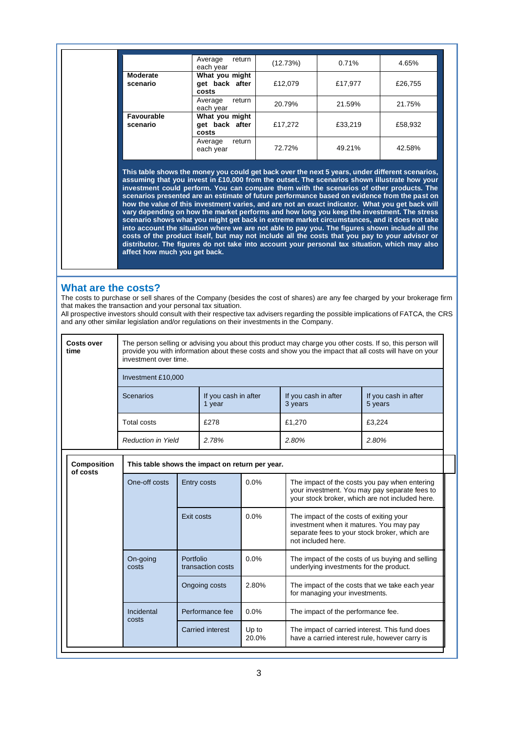|                        | Average<br>return<br>each year            | (12.73%) | 0.71%   | 4.65%   |
|------------------------|-------------------------------------------|----------|---------|---------|
| Moderate<br>scenario   | What you might<br>get back after<br>costs | £12,079  | £17,977 | £26,755 |
|                        | return<br>Average<br>each year            | 20.79%   | 21.59%  | 21.75%  |
| Favourable<br>scenario | What you might<br>get back after<br>costs | £17,272  | £33,219 | £58,932 |
|                        | return<br>Average<br>each year            | 72.72%   | 49.21%  | 42.58%  |

**This table shows the money you could get back over the next 5 years, under different scenarios, assuming that you invest in £10,000 from the outset. The scenarios shown illustrate how your investment could perform. You can compare them with the scenarios of other products. The scenarios presented are an estimate of future performance based on evidence from the past on how the value of this investment varies, and are not an exact indicator. What you get back will vary depending on how the market performs and how long you keep the investment. The stress scenario shows what you might get back in extreme market circumstances, and it does not take into account the situation where we are not able to pay you. The figures shown include all the costs of the product itself, but may not include all the costs that you pay to your advisor or distributor. The figures do not take into account your personal tax situation, which may also affect how much you get back.**

#### **What are the costs?**

The costs to purchase or sell shares of the Company (besides the cost of shares) are any fee charged by your brokerage firm that makes the transaction and your personal tax situation.

All prospective investors should consult with their respective tax advisers regarding the possible implications of FATCA, the CRS and any other similar legislation and/or regulations on their investments in the Company.

| Costs over<br>time | The person selling or advising you about this product may charge you other costs. If so, this person will<br>provide you with information about these costs and show you the impact that all costs will have on your<br>investment over time. |                                |                                 |                                 |  |
|--------------------|-----------------------------------------------------------------------------------------------------------------------------------------------------------------------------------------------------------------------------------------------|--------------------------------|---------------------------------|---------------------------------|--|
|                    | Investment £10,000                                                                                                                                                                                                                            |                                |                                 |                                 |  |
|                    | Scenarios                                                                                                                                                                                                                                     | If you cash in after<br>1 year | If you cash in after<br>3 years | If you cash in after<br>5 years |  |
|                    | Total costs                                                                                                                                                                                                                                   | £278                           | £1.270                          | £3.224                          |  |
|                    | <b>Reduction in Yield</b>                                                                                                                                                                                                                     | 2.78%                          | 2.80%                           | 2.80%                           |  |

|  | Composition<br>of costs | This table shows the impact on return per year. |                                |                |                                                                                                                                                           |  |
|--|-------------------------|-------------------------------------------------|--------------------------------|----------------|-----------------------------------------------------------------------------------------------------------------------------------------------------------|--|
|  |                         | One-off costs                                   | Entry costs                    | $0.0\%$        | The impact of the costs you pay when entering<br>your investment. You may pay separate fees to<br>your stock broker, which are not included here.         |  |
|  |                         |                                                 | Exit costs                     | $0.0\%$        | The impact of the costs of exiting your<br>investment when it matures. You may pay<br>separate fees to your stock broker, which are<br>not included here. |  |
|  |                         | On-going<br>costs                               | Portfolio<br>transaction costs | $0.0\%$        | The impact of the costs of us buying and selling<br>underlying investments for the product.                                                               |  |
|  |                         |                                                 | Ongoing costs                  | 2.80%          | The impact of the costs that we take each year<br>for managing your investments.                                                                          |  |
|  |                         | Incidental<br>costs                             | Performance fee                | 0.0%           | The impact of the performance fee.                                                                                                                        |  |
|  |                         |                                                 | Carried interest               | Up to<br>20.0% | The impact of carried interest. This fund does<br>have a carried interest rule, however carry is                                                          |  |